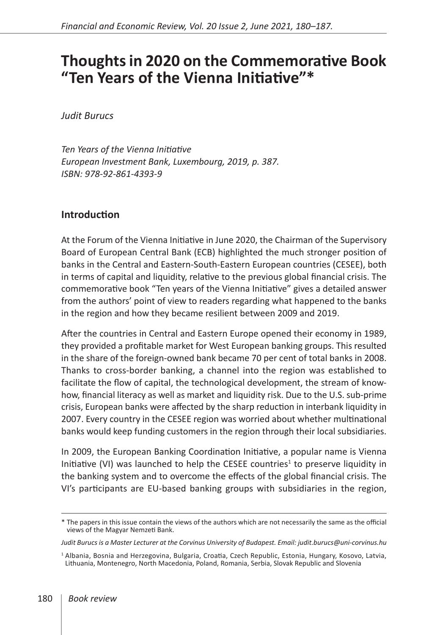# **Thoughts in 2020 on the Commemorative Book "Ten Years of the Vienna Initiative"\***

*Judit Burucs*

*Ten Years of the Vienna Initiative European Investment Bank, Luxembourg, 2019, p. 387. ISBN: 978-92-861-4393-9*

#### **Introduction**

At the Forum of the Vienna Initiative in June 2020, the Chairman of the Supervisory Board of European Central Bank (ECB) highlighted the much stronger position of banks in the Central and Eastern-South-Eastern European countries (CESEE), both in terms of capital and liquidity, relative to the previous global financial crisis. The commemorative book "Ten years of the Vienna Initiative" gives a detailed answer from the authors' point of view to readers regarding what happened to the banks in the region and how they became resilient between 2009 and 2019.

After the countries in Central and Eastern Europe opened their economy in 1989, they provided a profitable market for West European banking groups. This resulted in the share of the foreign-owned bank became 70 per cent of total banks in 2008. Thanks to cross-border banking, a channel into the region was established to facilitate the flow of capital, the technological development, the stream of knowhow, financial literacy as well as market and liquidity risk. Due to the U.S. sub-prime crisis, European banks were affected by the sharp reduction in interbank liquidity in 2007. Every country in the CESEE region was worried about whether multinational banks would keep funding customers in the region through their local subsidiaries.

In 2009, the European Banking Coordination Initiative, a popular name is Vienna Initiative (VI) was launched to help the CESEE countries<sup>1</sup> to preserve liquidity in the banking system and to overcome the effects of the global financial crisis. The VI's participants are EU-based banking groups with subsidiaries in the region,

*Judit Burucs is a Master Lecturer at the Corvinus University of Budapest. Email: judit.burucs@uni-corvinus.hu*

<sup>\*</sup> The papers in this issue contain the views of the authors which are not necessarily the same as the official views of the Magyar Nemzeti Bank.

<sup>1</sup> Albania, Bosnia and Herzegovina, Bulgaria, Croatia, Czech Republic, Estonia, Hungary, Kosovo, Latvia, Lithuania, Montenegro, North Macedonia, Poland, Romania, Serbia, Slovak Republic and Slovenia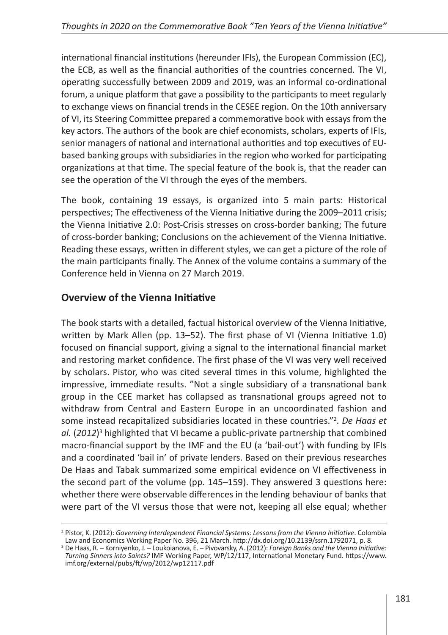international financial institutions (hereunder IFIs), the European Commission (EC), the ECB, as well as the financial authorities of the countries concerned*.* The VI, operating successfully between 2009 and 2019, was an informal co-ordinational forum, a unique platform that gave a possibility to the participants to meet regularly to exchange views on financial trends in the CESEE region. On the 10th anniversary of VI, its Steering Committee prepared a commemorative book with essays from the key actors. The authors of the book are chief economists, scholars, experts of IFIs, senior managers of national and international authorities and top executives of EUbased banking groups with subsidiaries in the region who worked for participating organizations at that time. The special feature of the book is, that the reader can see the operation of the VI through the eyes of the members.

The book, containing 19 essays, is organized into 5 main parts: Historical perspectives; The effectiveness of the Vienna Initiative during the 2009–2011 crisis; the Vienna Initiative 2.0: Post-Crisis stresses on cross-border banking; The future of cross-border banking; Conclusions on the achievement of the Vienna Initiative. Reading these essays, written in different styles, we can get a picture of the role of the main participants finally. The Annex of the volume contains a summary of the Conference held in Vienna on 27 March 2019.

# **Overview of the Vienna Initiative**

The book starts with a detailed, factual historical overview of the Vienna Initiative, written by Mark Allen (pp. 13–52). The first phase of VI (Vienna Initiative 1.0) focused on financial support, giving a signal to the international financial market and restoring market confidence. The first phase of the VI was very well received by scholars. Pistor, who was cited several times in this volume, highlighted the impressive, immediate results. "Not a single subsidiary of a transnational bank group in the CEE market has collapsed as transnational groups agreed not to withdraw from Central and Eastern Europe in an uncoordinated fashion and some instead recapitalized subsidiaries located in these countries."<sup>2</sup>. De Haas et *al.* (*2012*) 3 highlighted that VI became a public-private partnership that combined macro-financial support by the IMF and the EU (a 'bail-out') with funding by IFIs and a coordinated 'bail in' of private lenders. Based on their previous researches De Haas and Tabak summarized some empirical evidence on VI effectiveness in the second part of the volume (pp. 145–159). They answered 3 questions here: whether there were observable differences in the lending behaviour of banks that were part of the VI versus those that were not, keeping all else equal; whether

<sup>&</sup>lt;sup>2</sup> Pistor, K. (2012): *Governing Interdependent Financial Systems: Lessons from the Vienna Initiative. Colombia<br>Law and Economics Working Paper No. 396, 21 March. http://dx.doi.org/10.2139/ssrn.1792071, p. 8.* 

<sup>&</sup>lt;sup>3</sup> De Haas, R. – Korniyenko, J. – Loukoianova, E. – Pivovarsky, A. (2012): *Foreign Banks and the Vienna Initiative: Turning Sinners into Saints?* IMF Working Paper, WP/12/117, International Monetary Fund. [https://www.](https://www.imf.org/external/pubs/ft/wp/2012/wp12117.pdf) [imf.org/external/pubs/ft/wp/2012/wp12117.pdf](https://www.imf.org/external/pubs/ft/wp/2012/wp12117.pdf)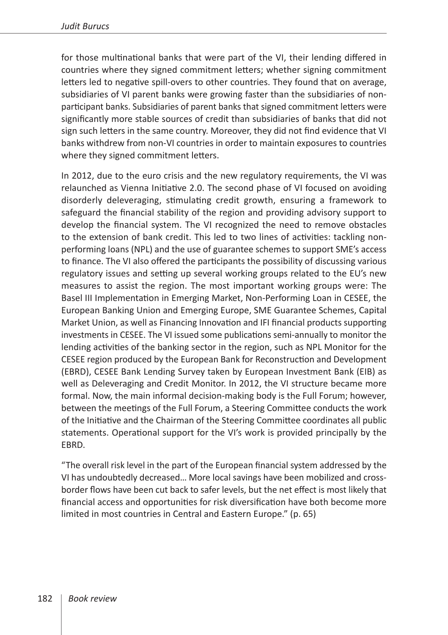for those multinational banks that were part of the VI, their lending differed in countries where they signed commitment letters; whether signing commitment letters led to negative spill-overs to other countries. They found that on average, subsidiaries of VI parent banks were growing faster than the subsidiaries of nonparticipant banks. Subsidiaries of parent banks that signed commitment letters were significantly more stable sources of credit than subsidiaries of banks that did not sign such letters in the same country. Moreover, they did not find evidence that VI banks withdrew from non-VI countries in order to maintain exposures to countries where they signed commitment letters.

In 2012, due to the euro crisis and the new regulatory requirements, the VI was relaunched as Vienna Initiative 2.0. The second phase of VI focused on avoiding disorderly deleveraging, stimulating credit growth, ensuring a framework to safeguard the financial stability of the region and providing advisory support to develop the financial system. The VI recognized the need to remove obstacles to the extension of bank credit. This led to two lines of activities: tackling nonperforming loans (NPL) and the use of guarantee schemes to support SME's access to finance. The VI also offered the participants the possibility of discussing various regulatory issues and setting up several working groups related to the EU's new measures to assist the region. The most important working groups were: The Basel III Implementation in Emerging Market, Non-Performing Loan in CESEE, the European Banking Union and Emerging Europe, SME Guarantee Schemes, Capital Market Union, as well as Financing Innovation and IFI financial products supporting investments in CESEE. The VI issued some publications semi-annually to monitor the lending activities of the banking sector in the region, such as NPL Monitor for the CESEE region produced by the European Bank for Reconstruction and Development (EBRD), CESEE Bank Lending Survey taken by European Investment Bank (EIB) as well as Deleveraging and Credit Monitor. In 2012, the VI structure became more formal. Now, the main informal decision-making body is the Full Forum; however, between the meetings of the Full Forum, a Steering Committee conducts the work of the Initiative and the Chairman of the Steering Committee coordinates all public statements. Operational support for the VI's work is provided principally by the EBRD.

"The overall risk level in the part of the European financial system addressed by the VI has undoubtedly decreased… More local savings have been mobilized and crossborder flows have been cut back to safer levels, but the net effect is most likely that financial access and opportunities for risk diversification have both become more limited in most countries in Central and Eastern Europe." (p. 65)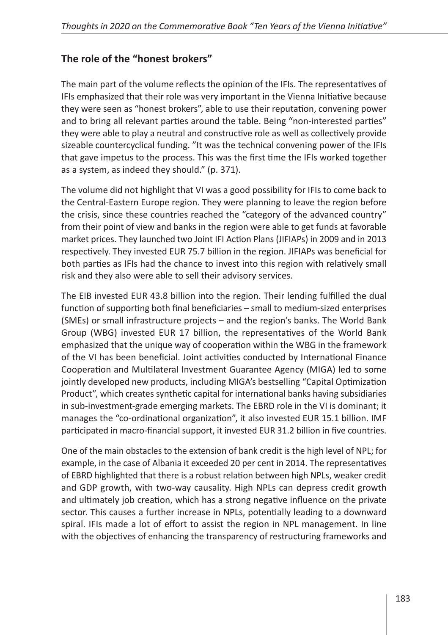## **The role of the "honest brokers"**

The main part of the volume reflects the opinion of the IFIs. The representatives of IFIs emphasized that their role was very important in the Vienna Initiative because they were seen as "honest brokers", able to use their reputation, convening power and to bring all relevant parties around the table. Being "non-interested parties" they were able to play a neutral and constructive role as well as collectively provide sizeable countercyclical funding. "It was the technical convening power of the IFIs that gave impetus to the process. This was the first time the IFIs worked together as a system, as indeed they should." (p. 371).

The volume did not highlight that VI was a good possibility for IFIs to come back to the Central-Eastern Europe region. They were planning to leave the region before the crisis, since these countries reached the "category of the advanced country" from their point of view and banks in the region were able to get funds at favorable market prices. They launched two Joint IFI Action Plans (JIFIAPs) in 2009 and in 2013 respectively. They invested EUR 75.7 billion in the region. JIFIAPs was beneficial for both parties as IFIs had the chance to invest into this region with relatively small risk and they also were able to sell their advisory services.

The EIB invested EUR 43.8 billion into the region. Their lending fulfilled the dual function of supporting both final beneficiaries – small to medium-sized enterprises (SMEs) or small infrastructure projects – and the region's banks. The World Bank Group (WBG) invested EUR 17 billion, the representatives of the World Bank emphasized that the unique way of cooperation within the WBG in the framework of the VI has been beneficial. Joint activities conducted by International Finance Cooperation and Multilateral Investment Guarantee Agency (MIGA) led to some jointly developed new products, including MIGA's bestselling "Capital Optimization Product", which creates synthetic capital for international banks having subsidiaries in sub-investment-grade emerging markets. The EBRD role in the VI is dominant; it manages the "co-ordinational organization", it also invested EUR 15.1 billion. IMF participated in macro-financial support, it invested EUR 31.2 billion in five countries.

One of the main obstacles to the extension of bank credit is the high level of NPL; for example, in the case of Albania it exceeded 20 per cent in 2014. The representatives of EBRD highlighted that there is a robust relation between high NPLs, weaker credit and GDP growth, with two-way causality. High NPLs can depress credit growth and ultimately job creation, which has a strong negative influence on the private sector. This causes a further increase in NPLs, potentially leading to a downward spiral. IFIs made a lot of effort to assist the region in NPL management. In line with the objectives of enhancing the transparency of restructuring frameworks and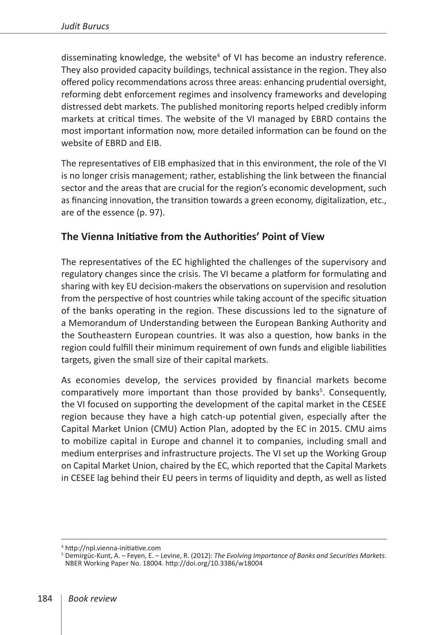disseminating knowledge, the website<sup>4</sup> of VI has become an industry reference. They also provided capacity buildings, technical assistance in the region. They also offered policy recommendations across three areas: enhancing prudential oversight, reforming debt enforcement regimes and insolvency frameworks and developing distressed debt markets. The published monitoring reports helped credibly inform markets at critical times. The website of the VI managed by EBRD contains the most important information now, more detailed information can be found on the website of EBRD and EIB.

The representatives of EIB emphasized that in this environment, the role of the VI is no longer crisis management; rather, establishing the link between the financial sector and the areas that are crucial for the region's economic development, such as financing innovation, the transition towards a green economy, digitalization, etc., are of the essence (p. 97).

#### **The Vienna Initiative from the Authorities' Point of View**

The representatives of the EC highlighted the challenges of the supervisory and regulatory changes since the crisis. The VI became a platform for formulating and sharing with key EU decision-makers the observations on supervision and resolution from the perspective of host countries while taking account of the specific situation of the banks operating in the region. These discussions led to the signature of a Memorandum of Understanding between the European Banking Authority and the Southeastern European countries. It was also a question, how banks in the region could fulfill their minimum requirement of own funds and eligible liabilities targets, given the small size of their capital markets.

As economies develop, the services provided by financial markets become comparatively more important than those provided by banks<sup>5</sup>. Consequently, the VI focused on supporting the development of the capital market in the CESEE region because they have a high catch-up potential given, especially after the Capital Market Union (CMU) Action Plan, adopted by the EC in 2015. CMU aims to mobilize capital in Europe and channel it to companies, including small and medium enterprises and infrastructure projects. The VI set up the Working Group on Capital Market Union, chaired by the EC, which reported that the Capital Markets in CESEE lag behind their EU peers in terms of liquidity and depth, as well as listed

<sup>&</sup>lt;sup>4</sup> <http://npl.vienna-initiative.com><br><sup>5</sup> Demirgüc-Kunt, A. – Feyen, E. – Levine, R. (2012): *The Evolving Importance of Banks and Securities Markets*. NBER Working Paper No. 18004. <http://doi.org/10.3386/w18004>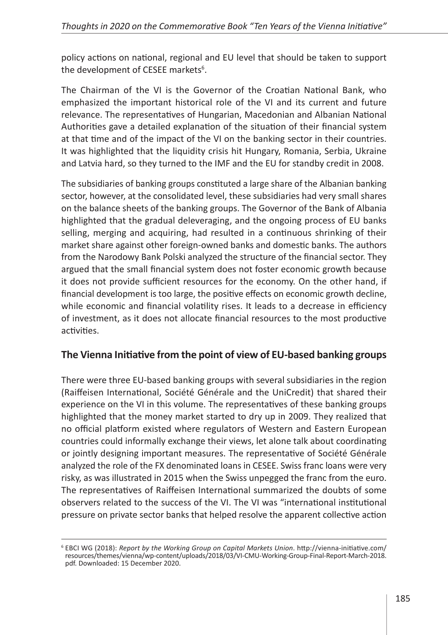policy actions on national, regional and EU level that should be taken to support the development of CESEE markets<sup>6</sup>.

The Chairman of the VI is the Governor of the Croatian National Bank, who emphasized the important historical role of the VI and its current and future relevance. The representatives of Hungarian, Macedonian and Albanian National Authorities gave a detailed explanation of the situation of their financial system at that time and of the impact of the VI on the banking sector in their countries. It was highlighted that the liquidity crisis hit Hungary, Romania, Serbia, Ukraine and Latvia hard, so they turned to the IMF and the EU for standby credit in 2008.

The subsidiaries of banking groups constituted a large share of the Albanian banking sector, however, at the consolidated level, these subsidiaries had very small shares on the balance sheets of the banking groups. The Governor of the Bank of Albania highlighted that the gradual deleveraging, and the ongoing process of EU banks selling, merging and acquiring, had resulted in a continuous shrinking of their market share against other foreign-owned banks and domestic banks. The authors from the Narodowy Bank Polski analyzed the structure of the financial sector. They argued that the small financial system does not foster economic growth because it does not provide sufficient resources for the economy. On the other hand, if financial development is too large, the positive effects on economic growth decline, while economic and financial volatility rises. It leads to a decrease in efficiency of investment, as it does not allocate financial resources to the most productive activities.

## **The Vienna Initiative from the point of view of EU-based banking groups**

There were three EU-based banking groups with several subsidiaries in the region (Raiffeisen International, Société Générale and the UniCredit) that shared their experience on the VI in this volume. The representatives of these banking groups highlighted that the money market started to dry up in 2009. They realized that no official platform existed where regulators of Western and Eastern European countries could informally exchange their views, let alone talk about coordinating or jointly designing important measures. The representative of Société Générale analyzed the role of the FX denominated loans in CESEE. Swiss franc loans were very risky, as was illustrated in 2015 when the Swiss unpegged the franc from the euro. The representatives of Raiffeisen International summarized the doubts of some observers related to the success of the VI. The VI was "international institutional pressure on private sector banks that helped resolve the apparent collective action

<sup>6</sup> EBCI WG (2018): *Report by the Working Group on Capital Markets Union*. [http://vienna-initiative.com/](http://vienna-initiative.com/resources/themes/vienna/wp-content/uploads/2018/03/VI-CMU-Working-Group-Final-Report-March-2018.pdf) [resources/themes/vienna/wp-content/uploads/2018/03/VI-CMU-Working-Group-Final-Report-March-2018.](http://vienna-initiative.com/resources/themes/vienna/wp-content/uploads/2018/03/VI-CMU-Working-Group-Final-Report-March-2018.pdf) [pdf.](http://vienna-initiative.com/resources/themes/vienna/wp-content/uploads/2018/03/VI-CMU-Working-Group-Final-Report-March-2018.pdf) Downloaded: 15 December 2020.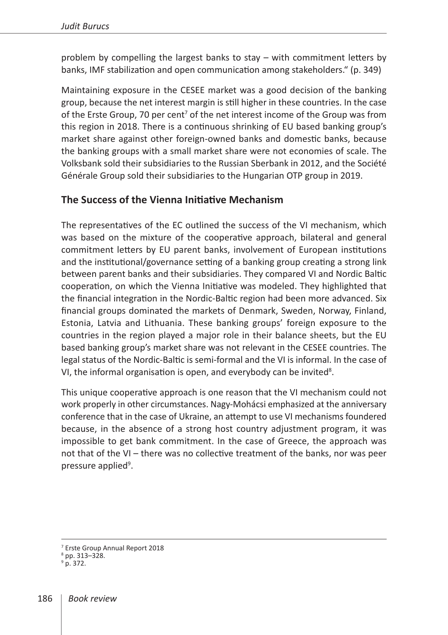problem by compelling the largest banks to stay – with commitment letters by banks, IMF stabilization and open communication among stakeholders." (p. 349)

Maintaining exposure in the CESEE market was a good decision of the banking group, because the net interest margin is still higher in these countries. In the case of the Erste Group, 70 per cent<sup>7</sup> of the net interest income of the Group was from this region in 2018. There is a continuous shrinking of EU based banking group's market share against other foreign-owned banks and domestic banks, because the banking groups with a small market share were not economies of scale. The Volksbank sold their subsidiaries to the Russian Sberbank in 2012, and the Société Générale Group sold their subsidiaries to the Hungarian OTP group in 2019.

#### **The Success of the Vienna Initiative Mechanism**

The representatives of the EC outlined the success of the VI mechanism, which was based on the mixture of the cooperative approach, bilateral and general commitment letters by EU parent banks, involvement of European institutions and the institutional/governance setting of a banking group creating a strong link between parent banks and their subsidiaries. They compared VI and Nordic Baltic cooperation, on which the Vienna Initiative was modeled. They highlighted that the financial integration in the Nordic-Baltic region had been more advanced. Six financial groups dominated the markets of Denmark, Sweden, Norway, Finland, Estonia, Latvia and Lithuania. These banking groups' foreign exposure to the countries in the region played a major role in their balance sheets, but the EU based banking group's market share was not relevant in the CESEE countries. The legal status of the Nordic-Baltic is semi-formal and the VI is informal. In the case of VI, the informal organisation is open, and everybody can be invited<sup>8</sup>.

This unique cooperative approach is one reason that the VI mechanism could not work properly in other circumstances. Nagy-Mohácsi emphasized at the anniversary conference that in the case of Ukraine, an attempt to use VI mechanisms foundered because, in the absence of a strong host country adjustment program, it was impossible to get bank commitment. In the case of Greece, the approach was not that of the VI – there was no collective treatment of the banks, nor was peer pressure applied<sup>9</sup>.

<sup>7</sup> Erste Group Annual Report 2018

<sup>8</sup> pp. 313–328.

 $9$  p. 372.